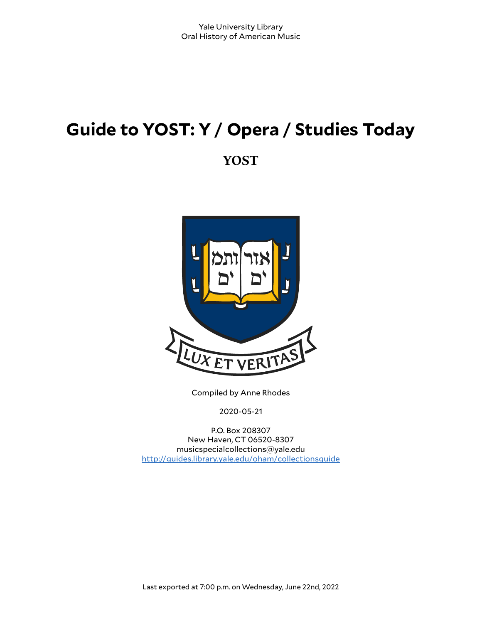# **Guide to YOST: Y / Opera / Studies Today**

**YOST**



Compiled by Anne Rhodes

2020-05-21

P.O. Box 208307 New Haven, CT 06520-8307 musicspecialcollections@yale.edu <http://guides.library.yale.edu/oham/collectionsguide>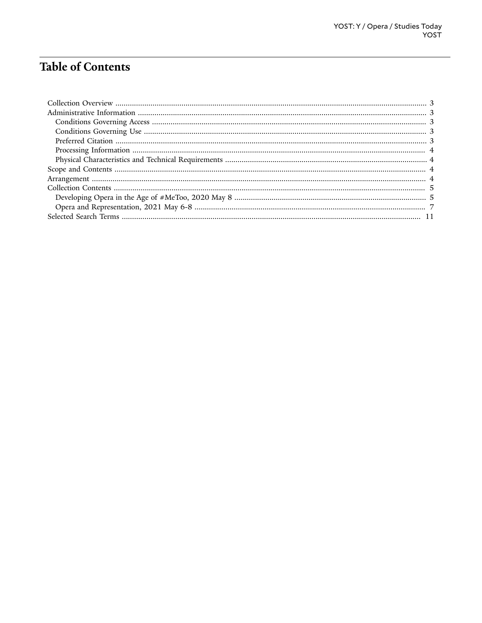# **Table of Contents**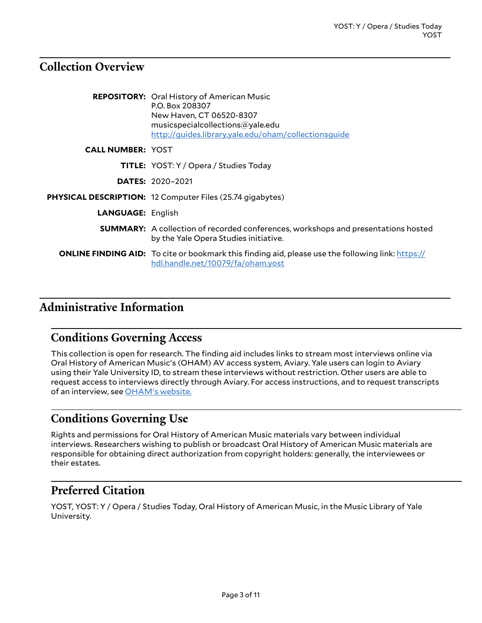# <span id="page-2-0"></span>**Collection Overview**

|                          | <b>REPOSITORY:</b> Oral History of American Music<br>P.O. Box 208307<br>New Haven, CT 06520-8307<br>musicspecialcollections@yale.edu<br>http://guides.library.yale.edu/oham/collectionsquide |
|--------------------------|----------------------------------------------------------------------------------------------------------------------------------------------------------------------------------------------|
| <b>CALL NUMBER: YOST</b> |                                                                                                                                                                                              |
|                          | <b>TITLE:</b> YOST: Y / Opera / Studies Today                                                                                                                                                |
|                          | <b>DATES: 2020-2021</b>                                                                                                                                                                      |
|                          | <b>PHYSICAL DESCRIPTION:</b> 12 Computer Files (25.74 gigabytes)                                                                                                                             |
| <b>LANGUAGE: English</b> |                                                                                                                                                                                              |
|                          | <b>SUMMARY:</b> A collection of recorded conferences, workshops and presentations hosted<br>by the Yale Opera Studies initiative.                                                            |
|                          | <b>ONLINE FINDING AID:</b> To cite or bookmark this finding aid, please use the following link: https://<br>hdl.handle.net/10079/fa/oham.yost                                                |

# <span id="page-2-1"></span>**Administrative Information**

## <span id="page-2-2"></span>**Conditions Governing Access**

This collection is open for research. The finding aid includes links to stream most interviews online via Oral History of American Music's (OHAM) AV access system, Aviary. Yale users can login to Aviary using their Yale University ID, to stream these interviews without restriction. Other users are able to request access to interviews directly through Aviary. For access instructions, and to request transcripts of an interview, see [OHAM's](https://guides.library.yale.edu/oham/collectionsguide/access) website.

# <span id="page-2-3"></span>**Conditions Governing Use**

Rights and permissions for Oral History of American Music materials vary between individual interviews. Researchers wishing to publish or broadcast Oral History of American Music materials are responsible for obtaining direct authorization from copyright holders: generally, the interviewees or their estates.

# <span id="page-2-4"></span>**Preferred Citation**

YOST, YOST: Y / Opera / Studies Today, Oral History of American Music, in the Music Library of Yale University.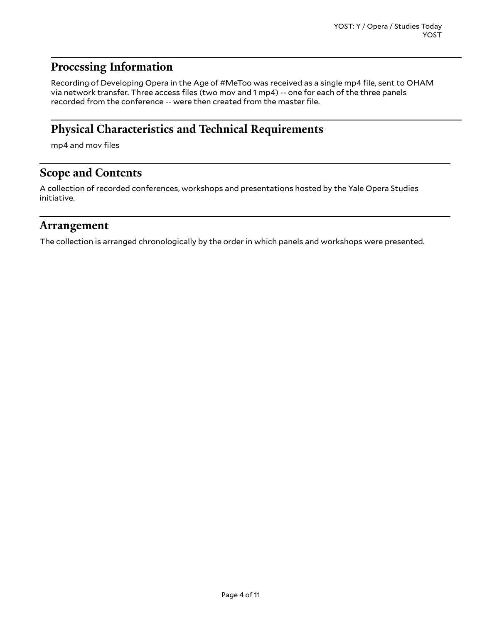# <span id="page-3-0"></span>**Processing Information**

Recording of Developing Opera in the Age of #MeToo was received as a single mp4 file, sent to OHAM via network transfer. Three access files (two mov and 1 mp4) -- one for each of the three panels recorded from the conference -- were then created from the master file.

# <span id="page-3-1"></span>**Physical Characteristics and Technical Requirements**

mp4 and mov files

## <span id="page-3-2"></span>**Scope and Contents**

A collection of recorded conferences, workshops and presentations hosted by the Yale Opera Studies initiative.

## <span id="page-3-3"></span>**Arrangement**

The collection is arranged chronologically by the order in which panels and workshops were presented.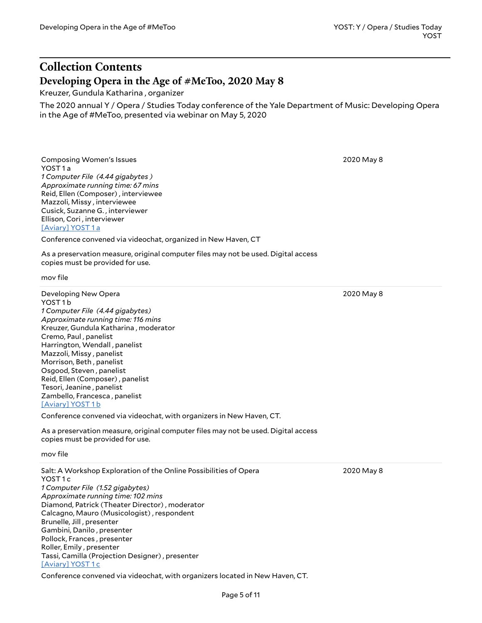## <span id="page-4-0"></span>**Collection Contents Developing Opera in the Age of #MeToo, 2020 May 8**

<span id="page-4-1"></span>Kreuzer, Gundula Katharina , organizer

The 2020 annual Y / Opera / Studies Today conference of the Yale Department of Music: Developing Opera in the Age of #MeToo, presented via webinar on May 5, 2020

Composing Women's Issues YOST 1 a *1 Computer File (4.44 gigabytes ) Approximate running time: 67 mins* Reid, Ellen (Composer) , interviewee Mazzoli, Missy , interviewee Cusick, Suzanne G. , interviewer Ellison, Cori , interviewer [\[Aviary\]](https://yalemusiclib.aviaryplatform.com/r/k93125qs3c) YOST 1 a

Conference convened via videochat, organized in New Haven, CT

As a preservation measure, original computer files may not be used. Digital access copies must be provided for use.

mov file

Developing New Opera YOST 1 b *1 Computer File (4.44 gigabytes) Approximate running time: 116 mins* Kreuzer, Gundula Katharina , moderator Cremo, Paul , panelist Harrington, Wendall , panelist Mazzoli, Missy , panelist Morrison, Beth , panelist Osgood, Steven , panelist Reid, Ellen (Composer) , panelist Tesori, Jeanine , panelist Zambello, Francesca , panelist [\[Aviary\]](https://yalemusiclib.aviaryplatform.com/r/x34mk65s87) YOST 1 b

Conference convened via videochat, with organizers in New Haven, CT.

As a preservation measure, original computer files may not be used. Digital access copies must be provided for use.

mov file

Salt: A Workshop Exploration of the Online Possibilities of Opera YOST<sub>1c</sub> *1 Computer File (1.52 gigabytes) Approximate running time: 102 mins* Diamond, Patrick (Theater Director) , moderator Calcagno, Mauro (Musicologist) , respondent Brunelle, Jill , presenter Gambini, Danilo , presenter Pollock, Frances , presenter Roller, Emily , presenter Tassi, Camilla (Projection Designer) , presenter [\[Aviary\]](https://yalemusiclib.aviaryplatform.com/r/fj2988312n) YOST 1 c

2020 May 8

Conference convened via videochat, with organizers located in New Haven, CT.

2020 May 8

2020 May 8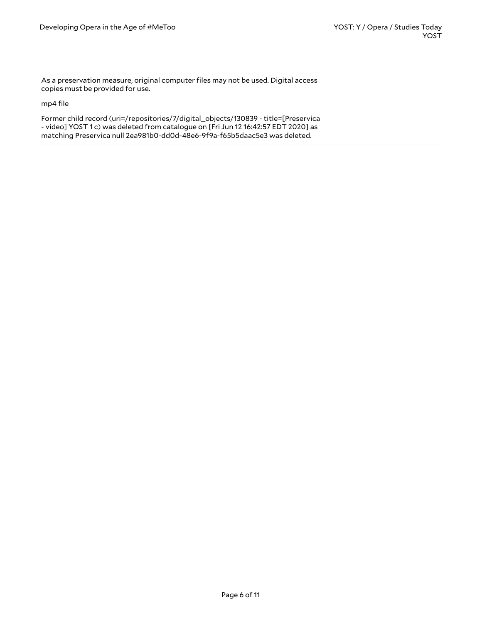As a preservation measure, original computer files may not be used. Digital access copies must be provided for use.

mp4 file

Former child record (uri=/repositories/7/digital\_objects/130839 - title=[Preservica - video] YOST 1 c) was deleted from catalogue on [Fri Jun 12 16:42:57 EDT 2020] as matching Preservica null 2ea981b0-dd0d-48e6-9f9a-f65b5daac5e3 was deleted.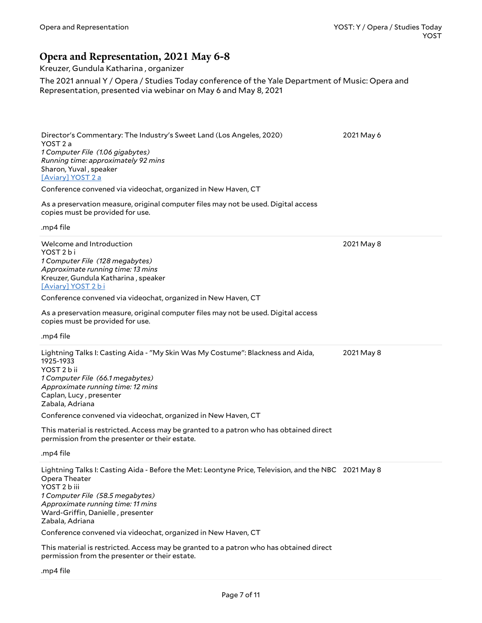### <span id="page-6-0"></span>**Opera and Representation, 2021 May 6-8**

Kreuzer, Gundula Katharina , organizer

The 2021 annual Y / Opera / Studies Today conference of the Yale Department of Music: Opera and Representation, presented via webinar on May 6 and May 8, 2021

Director's Commentary: The Industry's Sweet Land (Los Angeles, 2020) YOST 2 a *1 Computer File (1.06 gigabytes) Running time: approximately 92 mins* Sharon, Yuval , speaker [\[Aviary\]](https://yalemusiclib.aviaryplatform.com/r/7d2q52fz1m) YOST 2 a Conference convened via videochat, organized in New Haven, CT As a preservation measure, original computer files may not be used. Digital access copies must be provided for use. .mp4 file 2021 May 6 Welcome and Introduction YOST<sub>2</sub> bi *1 Computer File (128 megabytes) Approximate running time: 13 mins* Kreuzer, Gundula Katharina , speaker [\[Aviary\]](https://yalemusiclib.aviaryplatform.com/r/z31ng4hk8x) YOST 2 b i Conference convened via videochat, organized in New Haven, CT As a preservation measure, original computer files may not be used. Digital access copies must be provided for use. .mp4 file 2021 May 8 Lightning Talks I: Casting Aida - "My Skin Was My Costume": Blackness and Aida, 1925-1933 YOST 2 b ii *1 Computer File (66.1 megabytes) Approximate running time: 12 mins* Caplan, Lucy , presenter Zabala, Adriana Conference convened via videochat, organized in New Haven, CT This material is restricted. Access may be granted to a patron who has obtained direct permission from the presenter or their estate. .mp4 file 2021 May 8 Lightning Talks I: Casting Aida - Before the Met: Leontyne Price, Television, and the NBC 2021 May 8 Opera Theater YOST 2 b iii *1 Computer File (58.5 megabytes) Approximate running time: 11 mins* Ward-Griffin, Danielle, presenter Zabala, Adriana Conference convened via videochat, organized in New Haven, CT This material is restricted. Access may be granted to a patron who has obtained direct permission from the presenter or their estate.

.mp4 file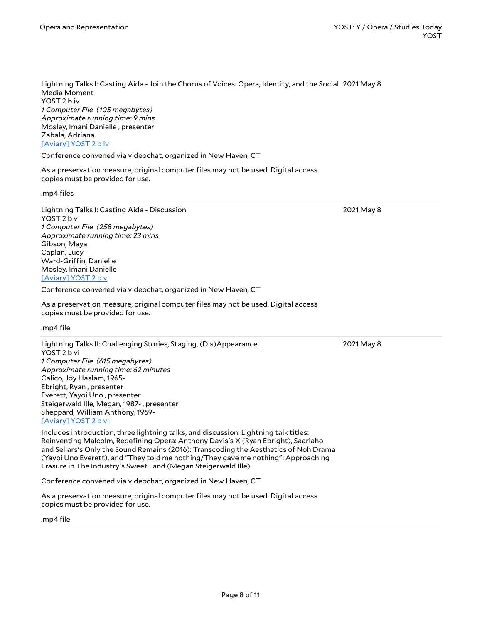Lightning Talks I: Casting Aida - Join the Chorus of Voices: Opera, Identity, and the Social 2021 May 8 Media Moment YOST 2 b iv *1 Computer File (105 megabytes) Approximate running time: 9 mins* Mosley, Imani Danielle , presenter Zabala, Adriana [\[Aviary\]](https://yalemusiclib.aviaryplatform.com/r/xk84j0bv81) YOST 2 b iv

Conference convened via videochat, organized in New Haven, CT

As a preservation measure, original computer files may not be used. Digital access copies must be provided for use.

.mp4 files

Lightning Talks I: Casting Aida - Discussion YOST 2 b v *1 Computer File (258 megabytes) Approximate running time: 23 mins* Gibson, Maya Caplan, Lucy Ward-Griffin, Danielle Mosley, Imani Danielle [\[Aviary\]](https://yalemusiclib.aviaryplatform.com/r/2r3nv99t51) YOST 2 b v

Conference convened via videochat, organized in New Haven, CT

As a preservation measure, original computer files may not be used. Digital access copies must be provided for use.

.mp4 file

Lightning Talks II: Challenging Stories, Staging, (Dis)Appearance YOST 2 b vi *1 Computer File (615 megabytes) Approximate running time: 62 minutes* Calico, Joy Haslam, 1965- Ebright, Ryan , presenter Everett, Yayoi Uno , presenter Steigerwald Ille, Megan, 1987- , presenter Sheppard, William Anthony, 1969- [\[Aviary\]](https://yalemusiclib.aviaryplatform.com/r/r20rr1qc48) YOST 2 b vi

Includes introduction, three lightning talks, and discussion. Lightning talk titles: Reinventing Malcolm, Redefining Opera: Anthony Davis's X (Ryan Ebright), Saariaho and Sellars's Only the Sound Remains (2016): Transcoding the Aesthetics of Noh Drama (Yayoi Uno Everett), and "They told me nothing/They gave me nothing": Approaching Erasure in The Industry's Sweet Land (Megan Steigerwald Ille).

Conference convened via videochat, organized in New Haven, CT

As a preservation measure, original computer files may not be used. Digital access copies must be provided for use.

.mp4 file

2021 May 8

2021 May 8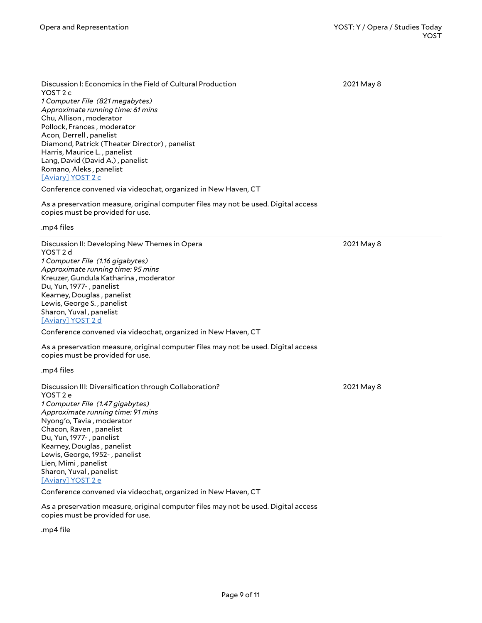Discussion I: Economics in the Field of Cultural Production YOST 2 c *1 Computer File (821 megabytes) Approximate running time: 61 mins* Chu, Allison , moderator Pollock, Frances , moderator Acon, Derrell , panelist Diamond, Patrick (Theater Director) , panelist Harris, Maurice L. , panelist Lang, David (David A.) , panelist Romano, Aleks , panelist [\[Aviary\]](https://yalemusiclib.aviaryplatform.com/r/hx15m62z6k) YOST 2 c

Conference convened via videochat, organized in New Haven, CT

As a preservation measure, original computer files may not be used. Digital access copies must be provided for use.

.mp4 files

Discussion II: Developing New Themes in Opera YOST 2 d *1 Computer File (1.16 gigabytes) Approximate running time: 95 mins* Kreuzer, Gundula Katharina , moderator Du, Yun, 1977- , panelist Kearney, Douglas , panelist Lewis, George S. , panelist Sharon, Yuval , panelist [\[Aviary\]](https://yalemusiclib.aviaryplatform.com/r/k93125r17s) YOST 2 d

Conference convened via videochat, organized in New Haven, CT

As a preservation measure, original computer files may not be used. Digital access copies must be provided for use.

.mp4 files

Discussion III: Diversification through Collaboration? YOST 2 e *1 Computer File (1.47 gigabytes) Approximate running time: 91 mins* Nyong'o, Tavia , moderator Chacon, Raven , panelist Du, Yun, 1977- , panelist Kearney, Douglas , panelist Lewis, George, 1952- , panelist Lien, Mimi , panelist Sharon, Yuval , panelist [\[Aviary\]](https://yalemusiclib.aviaryplatform.com/r/nc5s75785s) YOST 2 e

Conference convened via videochat, organized in New Haven, CT

As a preservation measure, original computer files may not be used. Digital access copies must be provided for use.

.mp4 file

2021 May 8

2021 May 8

2021 May 8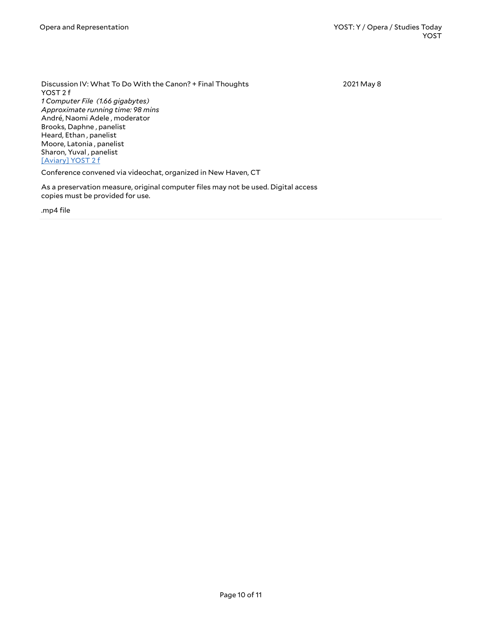Discussion IV: What To Do With the Canon? + Final Thoughts YOST 2 f *1 Computer File (1.66 gigabytes) Approximate running time: 98 mins* André, Naomi Adele , moderator Brooks, Daphne , panelist Heard, Ethan , panelist Moore, Latonia , panelist Sharon, Yuval , panelist [\[Aviary\]](https://yalemusiclib.aviaryplatform.com/r/mp4vh5d63z) YOST 2 f Conference convened via videochat, organized in New Haven, CT 2021 May 8

As a preservation measure, original computer files may not be used. Digital access copies must be provided for use.

.mp4 file